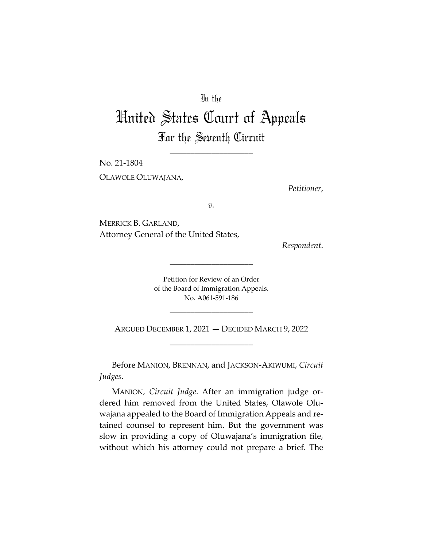## In the

## United States Court of Appeals For the Seventh Circuit

\_\_\_\_\_\_\_\_\_\_\_\_\_\_\_\_\_\_\_\_

No. 21‐1804 OLAWOLE OLUWAJANA,

*Petitioner*,

*v.*

MERRICK B. GARLAND, Attorney General of the United States,

*Respondent*.

Petition for Review of an Order of the Board of Immigration Appeals. No. A061‐591‐186

\_\_\_\_\_\_\_\_\_\_\_\_\_\_\_\_\_\_\_\_

\_\_\_\_\_\_\_\_\_\_\_\_\_\_\_\_\_\_\_\_

ARGUED DECEMBER 1, 2021 — DECIDED MARCH 9, 2022 \_\_\_\_\_\_\_\_\_\_\_\_\_\_\_\_\_\_\_\_

Before MANION, BRENNAN, and JACKSON‐AKIWUMI, *Circuit Judges*.

MANION, *Circuit Judge*. After an immigration judge or‐ dered him removed from the United States, Olawole Olu‐ wajana appealed to the Board of Immigration Appeals and re‐ tained counsel to represent him. But the government was slow in providing a copy of Oluwajana's immigration file, without which his attorney could not prepare a brief. The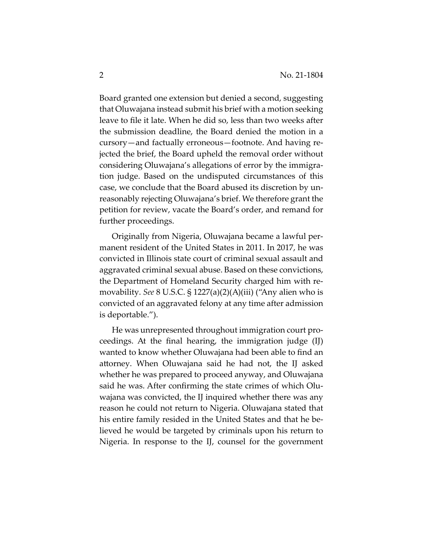Board granted one extension but denied a second, suggesting that Oluwajana instead submit his brief with a motion seeking leave to file it late. When he did so, less than two weeks after the submission deadline, the Board denied the motion in a cursory—and factually erroneous—footnote. And having re‐ jected the brief, the Board upheld the removal order without considering Oluwajana's allegations of error by the immigra‐ tion judge. Based on the undisputed circumstances of this case, we conclude that the Board abused its discretion by un‐ reasonably rejecting Oluwajana's brief. We therefore grant the petition for review, vacate the Board's order, and remand for further proceedings.

Originally from Nigeria, Oluwajana became a lawful per‐ manent resident of the United States in 2011. In 2017, he was convicted in Illinois state court of criminal sexual assault and aggravated criminal sexual abuse. Based on these convictions, the Department of Homeland Security charged him with re‐ movability. *See* 8 U.S.C. § 1227(a)(2)(A)(iii) ("Any alien who is convicted of an aggravated felony at any time after admission is deportable.").

He was unrepresented throughout immigration court pro‐ ceedings. At the final hearing, the immigration judge (IJ) wanted to know whether Oluwajana had been able to find an attorney. When Oluwajana said he had not, the IJ asked whether he was prepared to proceed anyway, and Oluwajana said he was. After confirming the state crimes of which Olu‐ wajana was convicted, the IJ inquired whether there was any reason he could not return to Nigeria. Oluwajana stated that his entire family resided in the United States and that he be‐ lieved he would be targeted by criminals upon his return to Nigeria. In response to the IJ, counsel for the government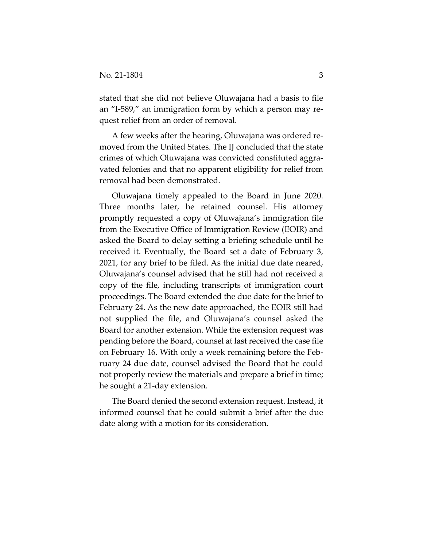stated that she did not believe Oluwajana had a basis to file an "I‐589," an immigration form by which a person may re‐ quest relief from an order of removal.

A few weeks after the hearing, Oluwajana was ordered re‐ moved from the United States. The IJ concluded that the state crimes of which Oluwajana was convicted constituted aggra‐ vated felonies and that no apparent eligibility for relief from removal had been demonstrated.

Oluwajana timely appealed to the Board in June 2020. Three months later, he retained counsel. His attorney promptly requested a copy of Oluwajana's immigration file from the Executive Office of Immigration Review (EOIR) and asked the Board to delay setting a briefing schedule until he received it. Eventually, the Board set a date of February 3, 2021, for any brief to be filed. As the initial due date neared, Oluwajana's counsel advised that he still had not received a copy of the file, including transcripts of immigration court proceedings. The Board extended the due date for the brief to February 24. As the new date approached, the EOIR still had not supplied the file, and Oluwajana's counsel asked the Board for another extension. While the extension request was pending before the Board, counsel at last received the case file on February 16. With only a week remaining before the Feb‐ ruary 24 due date, counsel advised the Board that he could not properly review the materials and prepare a brief in time; he sought a 21‐day extension.

The Board denied the second extension request. Instead, it informed counsel that he could submit a brief after the due date along with a motion for its consideration.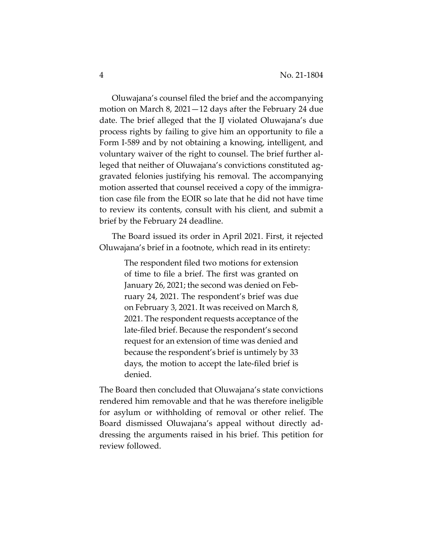Oluwajana's counsel filed the brief and the accompanying motion on March 8, 2021—12 days after the February 24 due date. The brief alleged that the IJ violated Oluwajana's due process rights by failing to give him an opportunity to file a Form I‐589 and by not obtaining a knowing, intelligent, and voluntary waiver of the right to counsel. The brief further al‐ leged that neither of Oluwajana's convictions constituted aggravated felonies justifying his removal. The accompanying motion asserted that counsel received a copy of the immigra‐ tion case file from the EOIR so late that he did not have time to review its contents, consult with his client, and submit a brief by the February 24 deadline.

The Board issued its order in April 2021. First, it rejected Oluwajana's brief in a footnote, which read in its entirety:

> The respondent filed two motions for extension of time to file a brief. The first was granted on January 26, 2021; the second was denied on Feb‐ ruary 24, 2021. The respondent's brief was due on February 3, 2021. It was received on March 8, 2021. The respondent requests acceptance of the late‐filed brief. Because the respondent's second request for an extension of time was denied and because the respondent's brief is untimely by 33 days, the motion to accept the late‐filed brief is denied.

The Board then concluded that Oluwajana's state convictions rendered him removable and that he was therefore ineligible for asylum or withholding of removal or other relief. The Board dismissed Oluwajana's appeal without directly ad‐ dressing the arguments raised in his brief. This petition for review followed.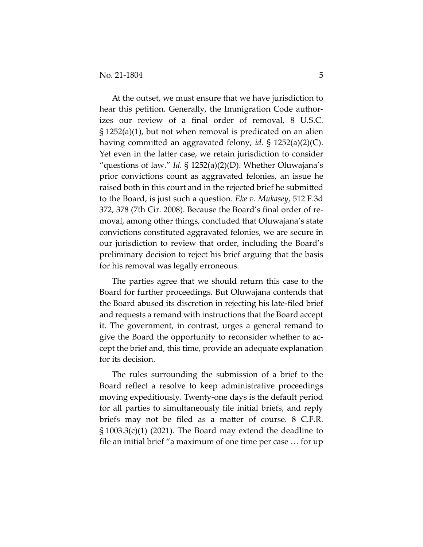At the outset, we must ensure that we have jurisdiction to hear this petition. Generally, the Immigration Code authorizes our review of a final order of removal, 8 U.S.C. § 1252(a)(1), but not when removal is predicated on an alien having committed an aggravated felony, *id.* § 1252(a)(2)(C). Yet even in the latter case, we retain jurisdiction to consider "questions of law." *Id.* § 1252(a)(2)(D). Whether Oluwajana's prior convictions count as aggravated felonies, an issue he raised both in this court and in the rejected brief he submitted to the Board, is just such a question. *Eke v. Mukasey*, 512 F.3d 372, 378 (7th Cir. 2008). Because the Board's final order of re‐ moval, among other things, concluded that Oluwajana's state convictions constituted aggravated felonies, we are secure in our jurisdiction to review that order, including the Board's preliminary decision to reject his brief arguing that the basis for his removal was legally erroneous.

The parties agree that we should return this case to the Board for further proceedings. But Oluwajana contends that the Board abused its discretion in rejecting his late‐filed brief and requests a remand with instructions that the Board accept it. The government, in contrast, urges a general remand to give the Board the opportunity to reconsider whether to ac‐ cept the brief and, this time, provide an adequate explanation for its decision.

The rules surrounding the submission of a brief to the Board reflect a resolve to keep administrative proceedings moving expeditiously. Twenty‐one days is the default period for all parties to simultaneously file initial briefs, and reply briefs may not be filed as a matter of course. 8 C.F.R. § 1003.3(c)(1) (2021). The Board may extend the deadline to file an initial brief "a maximum of one time per case … for up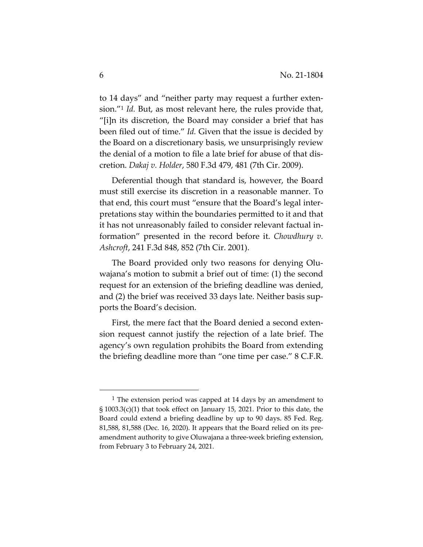to 14 days" and "neither party may request a further exten‐ sion."1 *Id.* But, as most relevant here, the rules provide that, "[i]n its discretion, the Board may consider a brief that has been filed out of time." *Id.* Given that the issue is decided by the Board on a discretionary basis, we unsurprisingly review the denial of a motion to file a late brief for abuse of that dis‐ cretion. *Dakaj v. Holder*, 580 F.3d 479, 481 (7th Cir. 2009).

Deferential though that standard is, however, the Board must still exercise its discretion in a reasonable manner. To that end, this court must "ensure that the Board's legal inter‐ pretations stay within the boundaries permitted to it and that it has not unreasonably failed to consider relevant factual in‐ formation" presented in the record before it. *Chowdhury v. Ashcroft*, 241 F.3d 848, 852 (7th Cir. 2001).

The Board provided only two reasons for denying Olu‐ wajana's motion to submit a brief out of time: (1) the second request for an extension of the briefing deadline was denied, and (2) the brief was received 33 days late. Neither basis supports the Board's decision.

First, the mere fact that the Board denied a second extension request cannot justify the rejection of a late brief. The agency's own regulation prohibits the Board from extending the briefing deadline more than "one time per case." 8 C.F.R.

 $1$  The extension period was capped at 14 days by an amendment to § 1003.3(c)(1) that took effect on January 15, 2021. Prior to this date, the Board could extend a briefing deadline by up to 90 days. 85 Fed. Reg. 81,588, 81,588 (Dec. 16, 2020). It appears that the Board relied on its pre‐ amendment authority to give Oluwajana a three‐week briefing extension, from February 3 to February 24, 2021.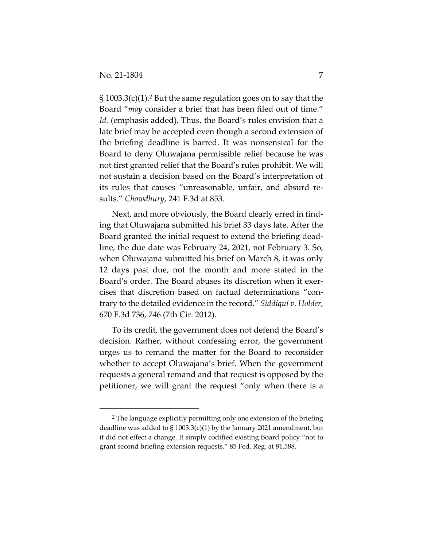§ 1003.3(c)(1).2 But the same regulation goes on to say that the Board "*may* consider a brief that has been filed out of time." *Id.* (emphasis added). Thus, the Board's rules envision that a late brief may be accepted even though a second extension of the briefing deadline is barred. It was nonsensical for the Board to deny Oluwajana permissible relief because he was not first granted relief that the Board's rules prohibit. We will not sustain a decision based on the Board's interpretation of its rules that causes "unreasonable, unfair, and absurd re‐ sults." *Chowdhury*, 241 F.3d at 853.

Next, and more obviously, the Board clearly erred in find‐ ing that Oluwajana submitted his brief 33 days late. After the Board granted the initial request to extend the briefing dead‐ line, the due date was February 24, 2021, not February 3. So, when Oluwajana submitted his brief on March 8, it was only 12 days past due, not the month and more stated in the Board's order. The Board abuses its discretion when it exercises that discretion based on factual determinations "con‐ trary to the detailed evidence in the record." *Siddiqui v. Holder*, 670 F.3d 736, 746 (7th Cir. 2012).

To its credit, the government does not defend the Board's decision. Rather, without confessing error, the government urges us to remand the matter for the Board to reconsider whether to accept Oluwajana's brief. When the government requests a general remand and that request is opposed by the petitioner, we will grant the request "only when there is a

<sup>2</sup> The language explicitly permitting only one extension of the briefing deadline was added to  $\S$  1003.3(c)(1) by the January 2021 amendment, but it did not effect a change. It simply codified existing Board policy "not to grant second briefing extension requests." 85 Fed. Reg. at 81,588.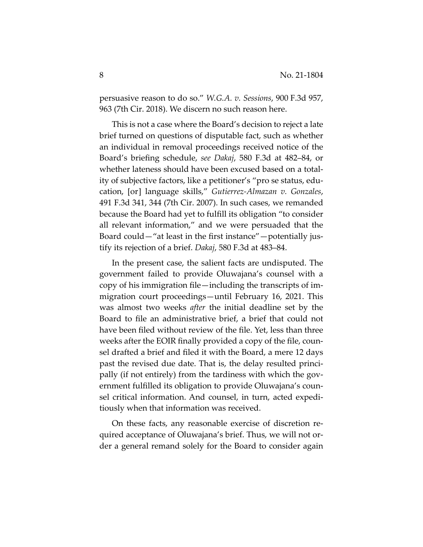persuasive reason to do so." *W.G.A. v. Sessions*, 900 F.3d 957, 963 (7th Cir. 2018). We discern no such reason here.

This is not a case where the Board's decision to reject a late brief turned on questions of disputable fact, such as whether an individual in removal proceedings received notice of the Board's briefing schedule, *see Dakaj*, 580 F.3d at 482–84, or whether lateness should have been excused based on a total‐ ity of subjective factors, like a petitioner's "pro se status, edu‐ cation, [or] language skills," *Gutierrez‐Almazan v. Gonzales*, 491 F.3d 341, 344 (7th Cir. 2007). In such cases, we remanded because the Board had yet to fulfill its obligation "to consider all relevant information," and we were persuaded that the Board could—"at least in the first instance"—potentially jus‐ tify its rejection of a brief. *Dakaj*, 580 F.3d at 483–84.

In the present case, the salient facts are undisputed. The government failed to provide Oluwajana's counsel with a copy of his immigration file—including the transcripts of im‐ migration court proceedings—until February 16, 2021. This was almost two weeks *after* the initial deadline set by the Board to file an administrative brief, a brief that could not have been filed without review of the file. Yet, less than three weeks after the EOIR finally provided a copy of the file, coun‐ sel drafted a brief and filed it with the Board, a mere 12 days past the revised due date. That is, the delay resulted princi‐ pally (if not entirely) from the tardiness with which the gov‐ ernment fulfilled its obligation to provide Oluwajana's coun‐ sel critical information. And counsel, in turn, acted expedi‐ tiously when that information was received.

On these facts, any reasonable exercise of discretion re‐ quired acceptance of Oluwajana's brief. Thus, we will not or‐ der a general remand solely for the Board to consider again